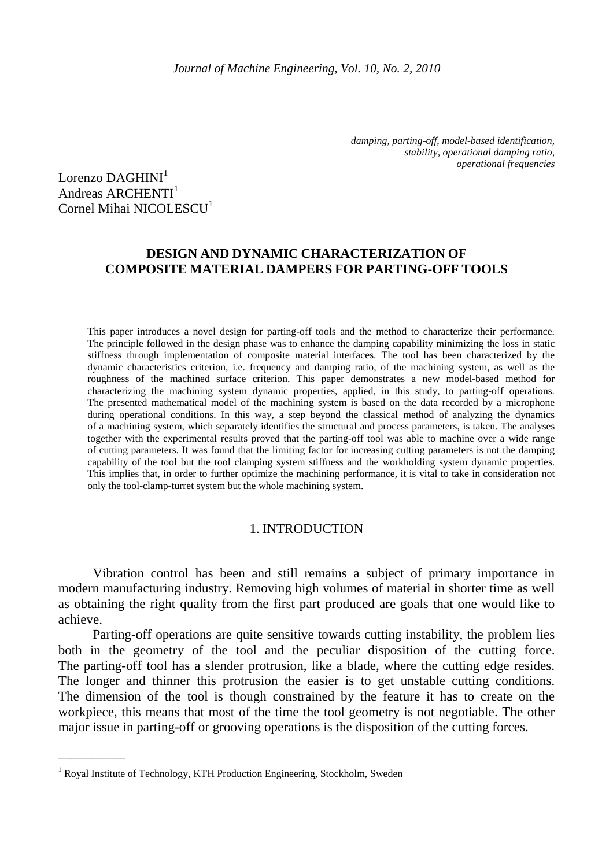*damping, parting-off, model-based identification, stability, operational damping ratio, operational frequencies* 

Lorenzo  $DAGHINI<sup>1</sup>$ Andreas  $ARCHENTI<sup>1</sup>$ Cornel Mihai NICOLESCU<sup>1</sup>

# **DESIGN AND DYNAMIC CHARACTERIZATION OF COMPOSITE MATERIAL DAMPERS FOR PARTING-OFF TOOLS**

This paper introduces a novel design for parting-off tools and the method to characterize their performance. The principle followed in the design phase was to enhance the damping capability minimizing the loss in static stiffness through implementation of composite material interfaces. The tool has been characterized by the dynamic characteristics criterion, i.e. frequency and damping ratio, of the machining system, as well as the roughness of the machined surface criterion. This paper demonstrates a new model-based method for characterizing the machining system dynamic properties, applied, in this study, to parting-off operations. The presented mathematical model of the machining system is based on the data recorded by a microphone during operational conditions. In this way, a step beyond the classical method of analyzing the dynamics of a machining system, which separately identifies the structural and process parameters, is taken. The analyses together with the experimental results proved that the parting-off tool was able to machine over a wide range of cutting parameters. It was found that the limiting factor for increasing cutting parameters is not the damping capability of the tool but the tool clamping system stiffness and the workholding system dynamic properties. This implies that, in order to further optimize the machining performance, it is vital to take in consideration not only the tool-clamp-turret system but the whole machining system.

## 1. INTRODUCTION

Vibration control has been and still remains a subject of primary importance in modern manufacturing industry. Removing high volumes of material in shorter time as well as obtaining the right quality from the first part produced are goals that one would like to achieve.

Parting-off operations are quite sensitive towards cutting instability, the problem lies both in the geometry of the tool and the peculiar disposition of the cutting force. The parting-off tool has a slender protrusion, like a blade, where the cutting edge resides. The longer and thinner this protrusion the easier is to get unstable cutting conditions. The dimension of the tool is though constrained by the feature it has to create on the workpiece, this means that most of the time the tool geometry is not negotiable. The other major issue in parting-off or grooving operations is the disposition of the cutting forces.

\_\_\_\_\_\_\_\_\_\_

<sup>&</sup>lt;sup>1</sup> Royal Institute of Technology, KTH Production Engineering, Stockholm, Sweden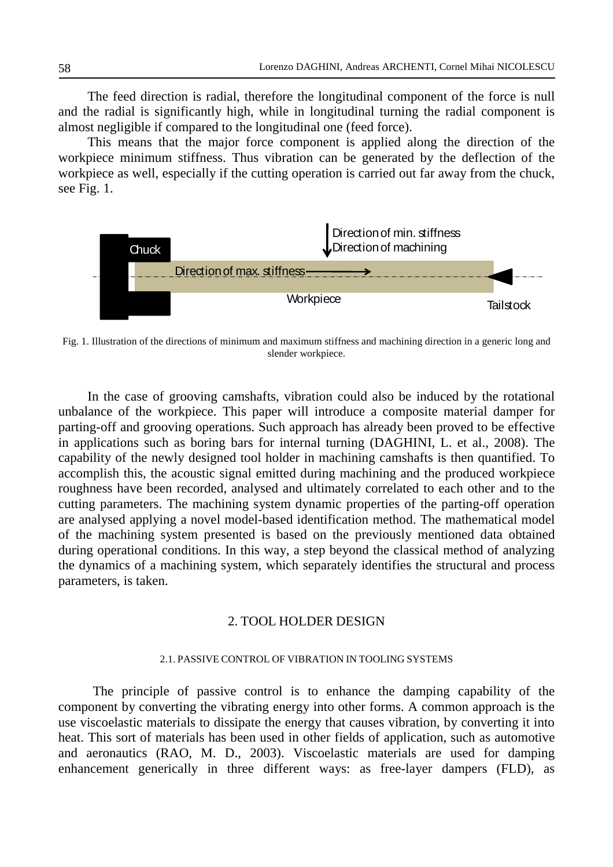The feed direction is radial, therefore the longitudinal component of the force is null and the radial is significantly high, while in longitudinal turning the radial component is almost negligible if compared to the longitudinal one (feed force).

This means that the major force component is applied along the direction of the workpiece minimum stiffness. Thus vibration can be generated by the deflection of the workpiece as well, especially if the cutting operation is carried out far away from the chuck, see Fig. 1.



Fig. 1. Illustration of the directions of minimum and maximum stiffness and machining direction in a generic long and slender workpiece.

In the case of grooving camshafts, vibration could also be induced by the rotational unbalance of the workpiece. This paper will introduce a composite material damper for parting-off and grooving operations. Such approach has already been proved to be effective in applications such as boring bars for internal turning (DAGHINI, L. et al., 2008). The capability of the newly designed tool holder in machining camshafts is then quantified. To accomplish this, the acoustic signal emitted during machining and the produced workpiece roughness have been recorded, analysed and ultimately correlated to each other and to the cutting parameters. The machining system dynamic properties of the parting-off operation are analysed applying a novel model-based identification method. The mathematical model of the machining system presented is based on the previously mentioned data obtained during operational conditions. In this way, a step beyond the classical method of analyzing the dynamics of a machining system, which separately identifies the structural and process parameters, is taken.

## 2. TOOL HOLDER DESIGN

### 2.1. PASSIVE CONTROL OF VIBRATION IN TOOLING SYSTEMS

The principle of passive control is to enhance the damping capability of the component by converting the vibrating energy into other forms. A common approach is the use viscoelastic materials to dissipate the energy that causes vibration, by converting it into heat. This sort of materials has been used in other fields of application, such as automotive and aeronautics (RAO, M. D., 2003). Viscoelastic materials are used for damping enhancement generically in three different ways: as free-layer dampers (FLD), as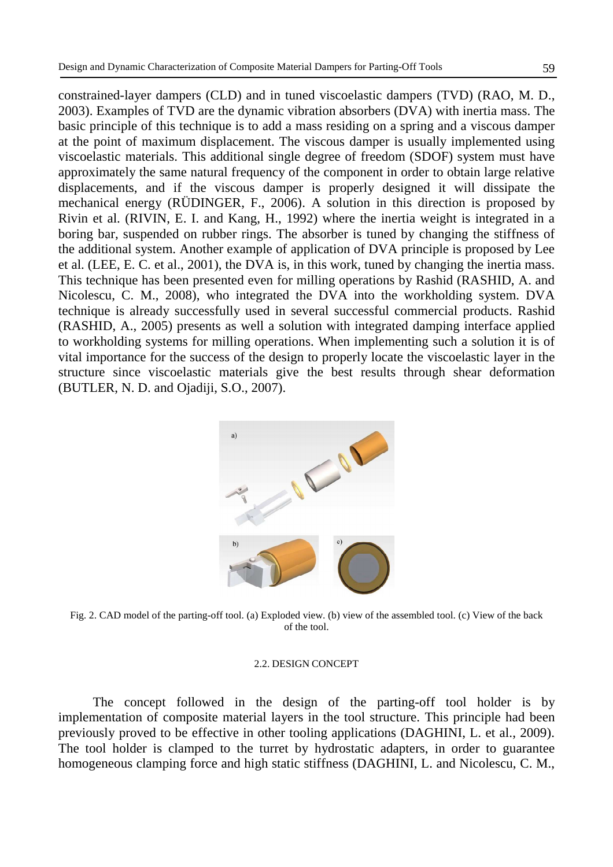(BUTLER, N. D. and Ojadiji, S.O., 2007).

constrained-layer dampers (CLD) and in tuned viscoelastic dampers (TVD) (RAO, M. D., 2003). Examples of TVD are the dynamic vibration absorbers (DVA) with inertia mass. The basic principle of this technique is to add a mass residing on a spring and a viscous damper at the point of maximum displacement. The viscous damper is usually implemented using viscoelastic materials. This additional single degree of freedom (SDOF) system must have approximately the same natural frequency of the component in order to obtain large relative displacements, and if the viscous damper is properly designed it will dissipate the mechanical energy (RÜDINGER, F., 2006). A solution in this direction is proposed by Rivin et al. (RIVIN, E. I. and Kang, H., 1992) where the inertia weight is integrated in a boring bar, suspended on rubber rings. The absorber is tuned by changing the stiffness of the additional system. Another example of application of DVA principle is proposed by Lee et al. (LEE, E. C. et al., 2001), the DVA is, in this work, tuned by changing the inertia mass. This technique has been presented even for milling operations by Rashid (RASHID, A. and Nicolescu, C. M., 2008), who integrated the DVA into the workholding system. DVA technique is already successfully used in several successful commercial products. Rashid (RASHID, A., 2005) presents as well a solution with integrated damping interface applied to workholding systems for milling operations. When implementing such a solution it is of vital importance for the success of the design to properly locate the viscoelastic layer in the structure since viscoelastic materials give the best results through shear deformation



Fig. 2. CAD model of the parting-off tool. (a) Exploded view. (b) view of the assembled tool. (c) View of the back of the tool.

## 2.2. DESIGN CONCEPT

The concept followed in the design of the parting-off tool holder is by implementation of composite material layers in the tool structure. This principle had been previously proved to be effective in other tooling applications (DAGHINI, L. et al., 2009). The tool holder is clamped to the turret by hydrostatic adapters, in order to guarantee homogeneous clamping force and high static stiffness (DAGHINI, L. and Nicolescu, C. M.,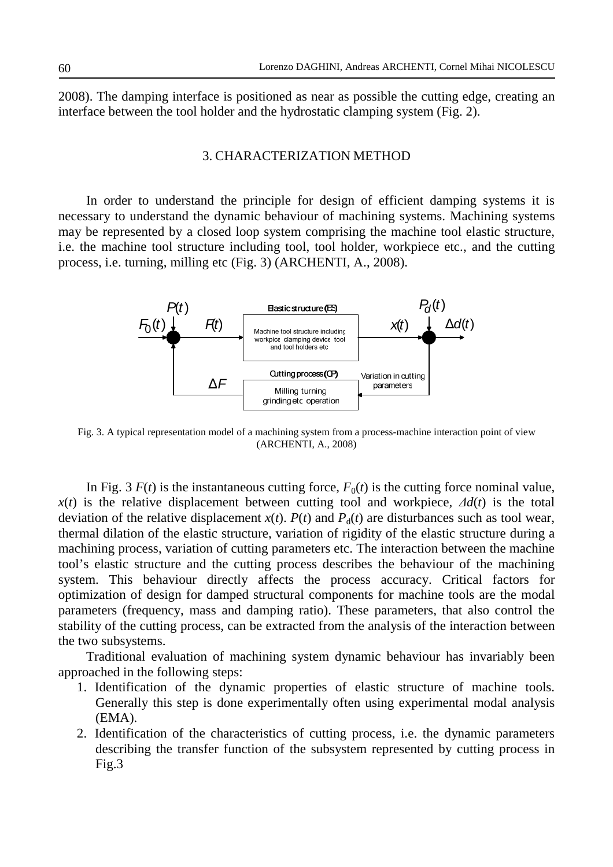2008). The damping interface is positioned as near as possible the cutting edge, creating an interface between the tool holder and the hydrostatic clamping system (Fig. 2).

## 3. CHARACTERIZATION METHOD

In order to understand the principle for design of efficient damping systems it is necessary to understand the dynamic behaviour of machining systems. Machining systems may be represented by a closed loop system comprising the machine tool elastic structure, i.e. the machine tool structure including tool, tool holder, workpiece etc., and the cutting process, i.e. turning, milling etc (Fig. 3) (ARCHENTI, A., 2008).



Fig. 3. A typical representation model of a machining system from a process-machine interaction point of view (ARCHENTI, A., 2008)

In Fig. 3  $F(t)$  is the instantaneous cutting force,  $F_0(t)$  is the cutting force nominal value,  $x(t)$  is the relative displacement between cutting tool and workpiece,  $\Delta d(t)$  is the total deviation of the relative displacement  $x(t)$ .  $P(t)$  and  $P<sub>d</sub>(t)$  are disturbances such as tool wear, thermal dilation of the elastic structure, variation of rigidity of the elastic structure during a machining process, variation of cutting parameters etc. The interaction between the machine tool's elastic structure and the cutting process describes the behaviour of the machining system. This behaviour directly affects the process accuracy. Critical factors for optimization of design for damped structural components for machine tools are the modal parameters (frequency, mass and damping ratio). These parameters, that also control the stability of the cutting process, can be extracted from the analysis of the interaction between the two subsystems.

Traditional evaluation of machining system dynamic behaviour has invariably been approached in the following steps:

- 1. Identification of the dynamic properties of elastic structure of machine tools. Generally this step is done experimentally often using experimental modal analysis (EMA).
- 2. Identification of the characteristics of cutting process, i.e. the dynamic parameters describing the transfer function of the subsystem represented by cutting process in Fig.3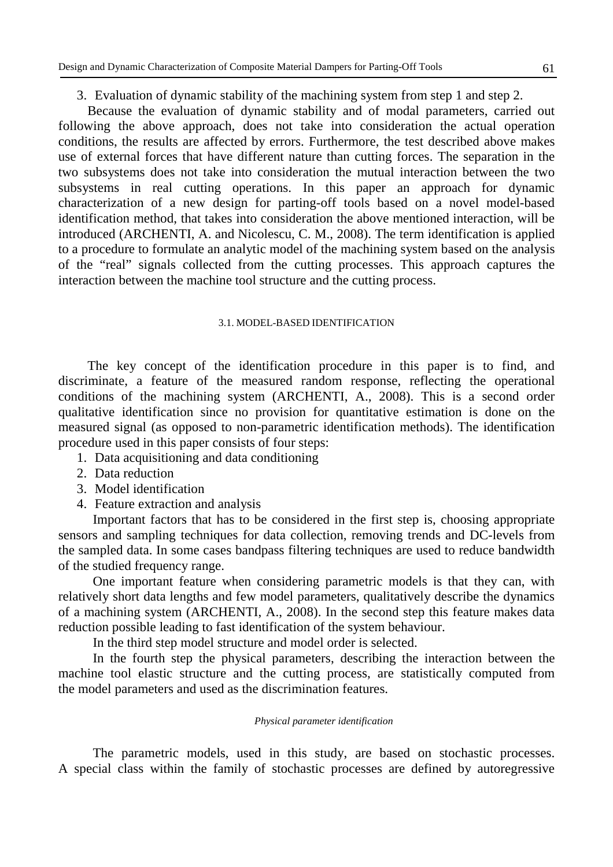3. Evaluation of dynamic stability of the machining system from step 1 and step 2.

Because the evaluation of dynamic stability and of modal parameters, carried out following the above approach, does not take into consideration the actual operation conditions, the results are affected by errors. Furthermore, the test described above makes use of external forces that have different nature than cutting forces. The separation in the two subsystems does not take into consideration the mutual interaction between the two subsystems in real cutting operations. In this paper an approach for dynamic characterization of a new design for parting-off tools based on a novel model-based identification method, that takes into consideration the above mentioned interaction, will be introduced (ARCHENTI, A. and Nicolescu, C. M., 2008). The term identification is applied to a procedure to formulate an analytic model of the machining system based on the analysis of the "real" signals collected from the cutting processes. This approach captures the interaction between the machine tool structure and the cutting process.

## 3.1. MODEL-BASED IDENTIFICATION

The key concept of the identification procedure in this paper is to find, and discriminate, a feature of the measured random response, reflecting the operational conditions of the machining system (ARCHENTI, A., 2008). This is a second order qualitative identification since no provision for quantitative estimation is done on the measured signal (as opposed to non-parametric identification methods). The identification procedure used in this paper consists of four steps:

- 1. Data acquisitioning and data conditioning
- 2. Data reduction
- 3. Model identification
- 4. Feature extraction and analysis

Important factors that has to be considered in the first step is, choosing appropriate sensors and sampling techniques for data collection, removing trends and DC-levels from the sampled data. In some cases bandpass filtering techniques are used to reduce bandwidth of the studied frequency range.

One important feature when considering parametric models is that they can, with relatively short data lengths and few model parameters, qualitatively describe the dynamics of a machining system (ARCHENTI, A., 2008). In the second step this feature makes data reduction possible leading to fast identification of the system behaviour.

In the third step model structure and model order is selected.

In the fourth step the physical parameters, describing the interaction between the machine tool elastic structure and the cutting process, are statistically computed from the model parameters and used as the discrimination features.

## *Physical parameter identification*

The parametric models, used in this study, are based on stochastic processes. A special class within the family of stochastic processes are defined by autoregressive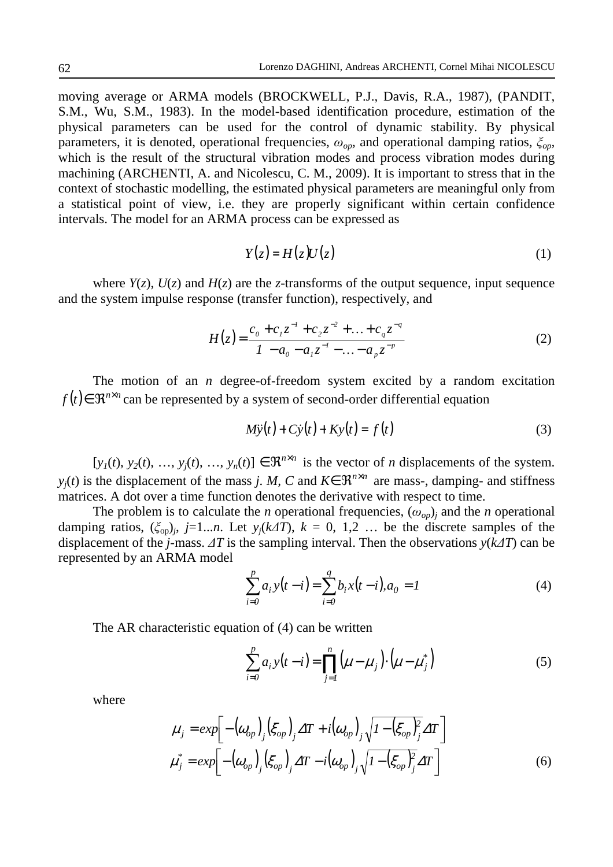moving average or ARMA models (BROCKWELL, P.J., Davis, R.A., 1987), (PANDIT, S.M., Wu, S.M., 1983). In the model-based identification procedure, estimation of the physical parameters can be used for the control of dynamic stability. By physical parameters, it is denoted, operational frequencies,  $\omega_{op}$ , and operational damping ratios,  $\zeta_{op}$ , which is the result of the structural vibration modes and process vibration modes during machining (ARCHENTI, A. and Nicolescu, C. M., 2009). It is important to stress that in the context of stochastic modelling, the estimated physical parameters are meaningful only from a statistical point of view, i.e. they are properly significant within certain confidence intervals. The model for an ARMA process can be expressed as

$$
Y(z) = H(z)U(z) \tag{1}
$$

where  $Y(z)$ ,  $U(z)$  and  $H(z)$  are the *z*-transforms of the output sequence, input sequence and the system impulse response (transfer function), respectively, and

$$
H(z) = \frac{c_0 + c_1 z^{-1} + c_2 z^{-2} + \dots + c_q z^{-q}}{1 - a_0 - a_1 z^{-1} - \dots - a_p z^{-p}}
$$
(2)

The motion of an *n* degree-of-freedom system excited by a random excitation  $f(t)$ ∈  $\mathbb{R}^{n \times n}$  can be represented by a system of second-order differential equation

$$
M\ddot{y}(t) + C\dot{y}(t) + Ky(t) = f(t)
$$
\n(3)

 $[y_1(t), y_2(t), ..., y_j(t), ..., y_n(t)] \in \mathbb{R}^{n \times n}$  is the vector of *n* displacements of the system. *y*<sub>*j*</sub>(*t*) is the displacement of the mass *j*. *M*, *C* and  $K \in \mathbb{R}^{n \times n}$  are mass-, damping- and stiffness matrices. A dot over a time function denotes the derivative with respect to time.

The problem is to calculate the *n* operational frequencies,  $(\omega_{op})_j$  and the *n* operational damping ratios,  $(\xi_{op})_j$ ,  $j=1...n$ . Let  $y_j(k\Delta T)$ ,  $k=0, 1, 2...$  be the discrete samples of the displacement of the *j*-mass. ∆*T* is the sampling interval. Then the observations *y*(*k*∆*T*) can be represented by an ARMA model

$$
\sum_{i=0}^{p} a_i y(t-i) = \sum_{i=0}^{q} b_i x(t-i), a_0 = 1
$$
 (4)

The AR characteristic equation of (4) can be written

$$
\sum_{i=0}^{p} a_i y(t-i) = \prod_{j=1}^{n} (\mu - \mu_j) \cdot (\mu - \mu_j^*)
$$
 (5)

where

$$
\mu_j = exp\left[-\left(\omega_{op}\right)_j \left(\xi_{op}\right)_j \Delta T + i\left(\omega_{op}\right)_j \sqrt{1 - \left(\xi_{op}\right)_j^2} \Delta T\right]
$$
\n
$$
\mu_j^* = exp\left[-\left(\omega_{op}\right)_j \left(\xi_{op}\right)_j \Delta T - i\left(\omega_{op}\right)_j \sqrt{1 - \left(\xi_{op}\right)_j^2} \Delta T\right]
$$
\n(6)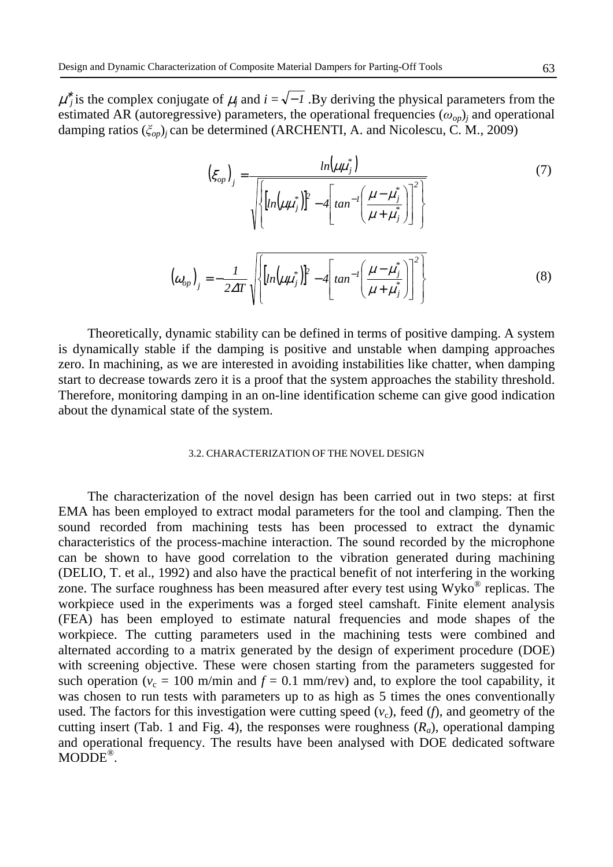$\mu^*$  is the complex conjugate of  $\mu_j$  and  $i = \sqrt{-1}$ . By deriving the physical parameters from the estimated AR (autoregressive) parameters, the operational frequencies  $(\omega_{op})_j$  and operational damping ratios (ξ*op*)*<sup>j</sup>* can be determined (ARCHENTI, A. and Nicolescu, C. M., 2009)

$$
\left(\xi_{op}\right)_j = \frac{ln\left(\mu\mu_j^*\right)}{\sqrt{\left\{\left[ln\left(\mu\mu_j^*\right)\right]^2 - 4\left[tan^{-1}\left(\frac{\mu - \mu_j^*}{\mu + \mu_j^*}\right)\right]^2\right\}}}
$$
\n
$$
\left(\omega_{op}\right)_j = -\frac{1}{2\Delta T}\sqrt{\left\{\left[ln\left(\mu\mu_j^*\right)\right]^2 - 4\left[tan^{-1}\left(\frac{\mu - \mu_j^*}{\mu + \mu_j^*}\right)\right]^2\right\}} \tag{8}
$$

Theoretically, dynamic stability can be defined in terms of positive damping. A system is dynamically stable if the damping is positive and unstable when damping approaches zero. In machining, as we are interested in avoiding instabilities like chatter, when damping start to decrease towards zero it is a proof that the system approaches the stability threshold. Therefore, monitoring damping in an on-line identification scheme can give good indication about the dynamical state of the system.

#### 3.2. CHARACTERIZATION OF THE NOVEL DESIGN

The characterization of the novel design has been carried out in two steps: at first EMA has been employed to extract modal parameters for the tool and clamping. Then the sound recorded from machining tests has been processed to extract the dynamic characteristics of the process-machine interaction. The sound recorded by the microphone can be shown to have good correlation to the vibration generated during machining (DELIO, T. et al., 1992) and also have the practical benefit of not interfering in the working zone. The surface roughness has been measured after every test using  $Wyko^{\circledast}$  replicas. The workpiece used in the experiments was a forged steel camshaft. Finite element analysis (FEA) has been employed to estimate natural frequencies and mode shapes of the workpiece. The cutting parameters used in the machining tests were combined and alternated according to a matrix generated by the design of experiment procedure (DOE) with screening objective. These were chosen starting from the parameters suggested for such operation ( $v_c = 100$  m/min and  $f = 0.1$  mm/rev) and, to explore the tool capability, it was chosen to run tests with parameters up to as high as 5 times the ones conventionally used. The factors for this investigation were cutting speed  $(v_c)$ , feed  $(f)$ , and geometry of the cutting insert (Tab. 1 and Fig. 4), the responses were roughness  $(R_a)$ , operational damping and operational frequency. The results have been analysed with DOE dedicated software MODDE<sup>®</sup>.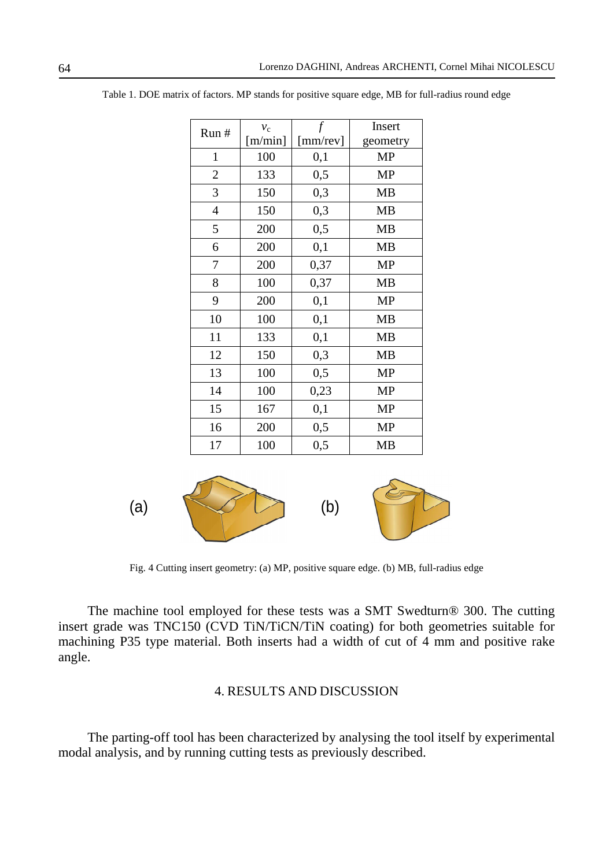| Run #          | $v_{\rm c}$ |          | Insert    |
|----------------|-------------|----------|-----------|
|                | [m/min]     | [mm/rev] | geometry  |
| $\mathbf{1}$   | 100         | 0,1      | <b>MP</b> |
| $\overline{2}$ | 133         | 0,5      | <b>MP</b> |
| 3              | 150         | 0,3      | <b>MB</b> |
| $\overline{4}$ | 150         | 0,3      | <b>MB</b> |
| 5              | 200         | 0,5      | <b>MB</b> |
| 6              | 200         | 0,1      | <b>MB</b> |
| 7              | 200         | 0,37     | <b>MP</b> |
| 8              | 100         | 0,37     | <b>MB</b> |
| 9              | 200         | 0,1      | <b>MP</b> |
| 10             | 100         | 0,1      | <b>MB</b> |
| 11             | 133         | 0,1      | <b>MB</b> |
| 12             | 150         | 0,3      | <b>MB</b> |
| 13             | 100         | 0,5      | <b>MP</b> |
| 14             | 100         | 0,23     | <b>MP</b> |
| 15             | 167         | 0,1      | <b>MP</b> |
| 16             | 200         | 0,5      | <b>MP</b> |
| 17             | 100         | 0,5      | MB        |

Table 1. DOE matrix of factors. MP stands for positive square edge, MB for full-radius round edge



Fig. 4 Cutting insert geometry: (a) MP, positive square edge. (b) MB, full-radius edge

The machine tool employed for these tests was a SMT Swedturn® 300. The cutting insert grade was TNC150 (CVD TiN/TiCN/TiN coating) for both geometries suitable for machining P35 type material. Both inserts had a width of cut of 4 mm and positive rake angle.

## 4. RESULTS AND DISCUSSION

The parting-off tool has been characterized by analysing the tool itself by experimental modal analysis, and by running cutting tests as previously described.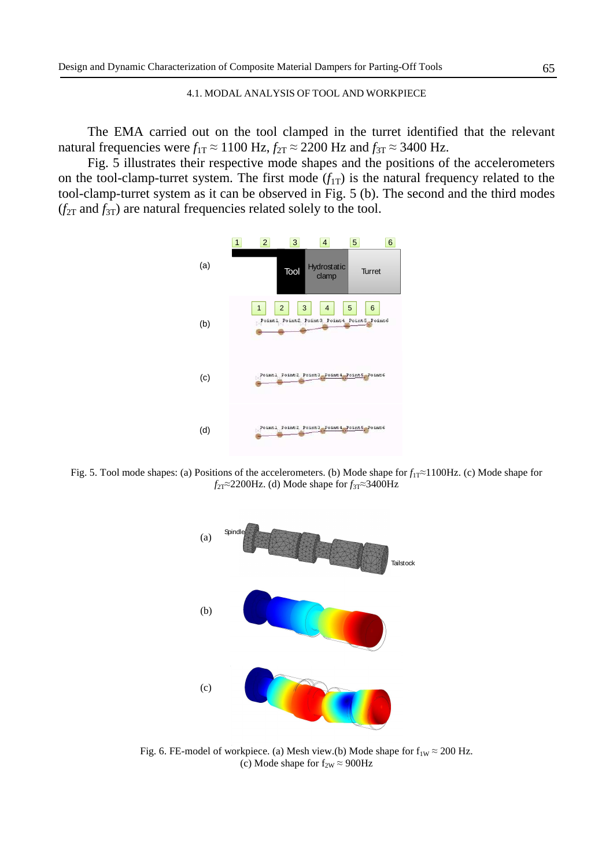### 4.1. MODAL ANALYSIS OF TOOL AND WORKPIECE

The EMA carried out on the tool clamped in the turret identified that the relevant natural frequencies were  $f_{1T} \approx 1100$  Hz,  $f_{2T} \approx 2200$  Hz and  $f_{3T} \approx 3400$  Hz.

Fig. 5 illustrates their respective mode shapes and the positions of the accelerometers on the tool-clamp-turret system. The first mode  $(f_{1T})$  is the natural frequency related to the tool-clamp-turret system as it can be observed in Fig. 5 (b). The second and the third modes  $(f_{2T}$  and  $f_{3T}$ ) are natural frequencies related solely to the tool.



Fig. 5. Tool mode shapes: (a) Positions of the accelerometers. (b) Mode shape for *f*1T≈1100Hz. (c) Mode shape for *f*<sub>2T</sub>≈2200Hz. (d) Mode shape for *f*<sub>3T</sub>≈3400Hz



Fig. 6. FE-model of workpiece. (a) Mesh view.(b) Mode shape for  $f_{1W} \approx 200$  Hz. (c) Mode shape for  $f_{2W} \approx 900 \text{Hz}$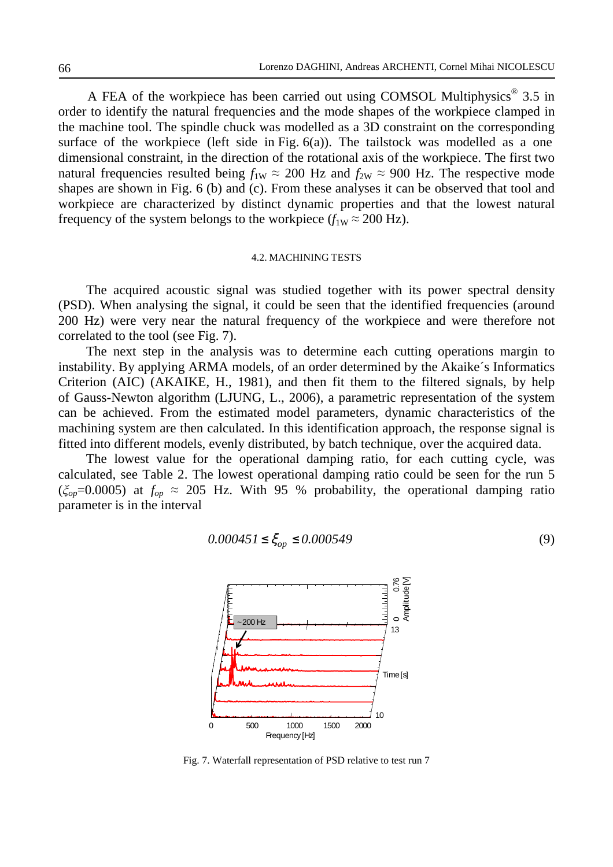A FEA of the workpiece has been carried out using COMSOL Multiphysics  $\mathscr{F}$  3.5 in order to identify the natural frequencies and the mode shapes of the workpiece clamped in the machine tool. The spindle chuck was modelled as a 3D constraint on the corresponding surface of the workpiece (left side in Fig.  $6(a)$ ). The tailstock was modelled as a one dimensional constraint, in the direction of the rotational axis of the workpiece. The first two natural frequencies resulted being  $f_{1W} \approx 200$  Hz and  $f_{2W} \approx 900$  Hz. The respective mode shapes are shown in Fig. 6 (b) and (c). From these analyses it can be observed that tool and workpiece are characterized by distinct dynamic properties and that the lowest natural frequency of the system belongs to the workpiece  $(f_{1W} \approx 200 \text{ Hz})$ .

### 4.2. MACHINING TESTS

The acquired acoustic signal was studied together with its power spectral density (PSD). When analysing the signal, it could be seen that the identified frequencies (around 200 Hz) were very near the natural frequency of the workpiece and were therefore not correlated to the tool (see Fig. 7).

The next step in the analysis was to determine each cutting operations margin to instability. By applying ARMA models, of an order determined by the Akaike´s Informatics Criterion (AIC) (AKAIKE, H., 1981), and then fit them to the filtered signals, by help of Gauss-Newton algorithm (LJUNG, L., 2006), a parametric representation of the system can be achieved. From the estimated model parameters, dynamic characteristics of the machining system are then calculated. In this identification approach, the response signal is fitted into different models, evenly distributed, by batch technique, over the acquired data.

The lowest value for the operational damping ratio, for each cutting cycle, was calculated, see Table 2. The lowest operational damping ratio could be seen for the run 5 ( $\zeta_{op}$ =0.0005) at  $f_{op} \approx 205$  Hz. With 95 % probability, the operational damping ratio parameter is in the interval

$$
0.000451 \le \xi_{op} \le 0.000549\tag{9}
$$



Fig. 7. Waterfall representation of PSD relative to test run 7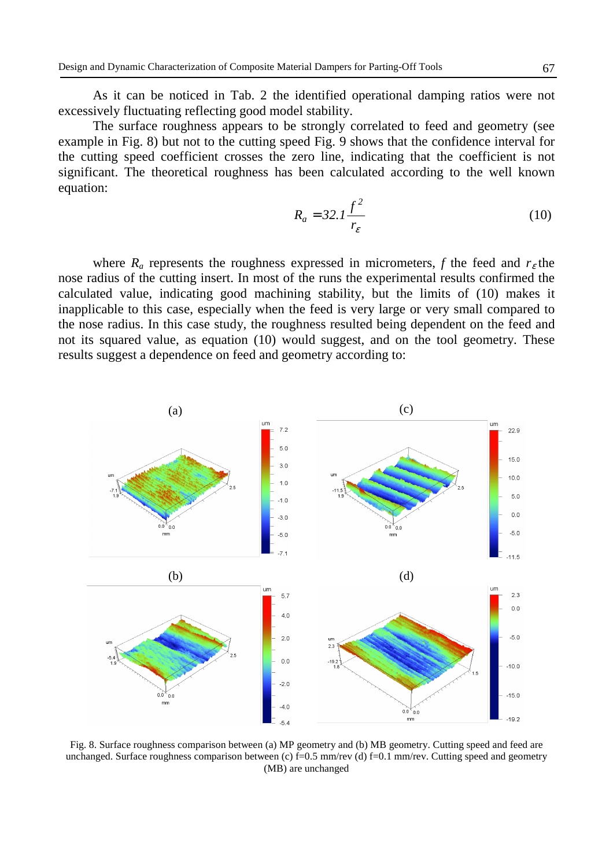As it can be noticed in Tab. 2 the identified operational damping ratios were not excessively fluctuating reflecting good model stability.

The surface roughness appears to be strongly correlated to feed and geometry (see example in Fig. 8) but not to the cutting speed Fig. 9 shows that the confidence interval for the cutting speed coefficient crosses the zero line, indicating that the coefficient is not significant. The theoretical roughness has been calculated according to the well known equation:

$$
R_a = 32.1 \frac{f^2}{r_{\varepsilon}}
$$
 (10)

where  $R_a$  represents the roughness expressed in micrometers,  $f$  the feed and  $r_\varepsilon$  the nose radius of the cutting insert. In most of the runs the experimental results confirmed the calculated value, indicating good machining stability, but the limits of (10) makes it inapplicable to this case, especially when the feed is very large or very small compared to the nose radius. In this case study, the roughness resulted being dependent on the feed and not its squared value, as equation (10) would suggest, and on the tool geometry. These results suggest a dependence on feed and geometry according to:



Fig. 8. Surface roughness comparison between (a) MP geometry and (b) MB geometry. Cutting speed and feed are unchanged. Surface roughness comparison between (c)  $f=0.5$  mm/rev (d)  $f=0.1$  mm/rev. Cutting speed and geometry (MB) are unchanged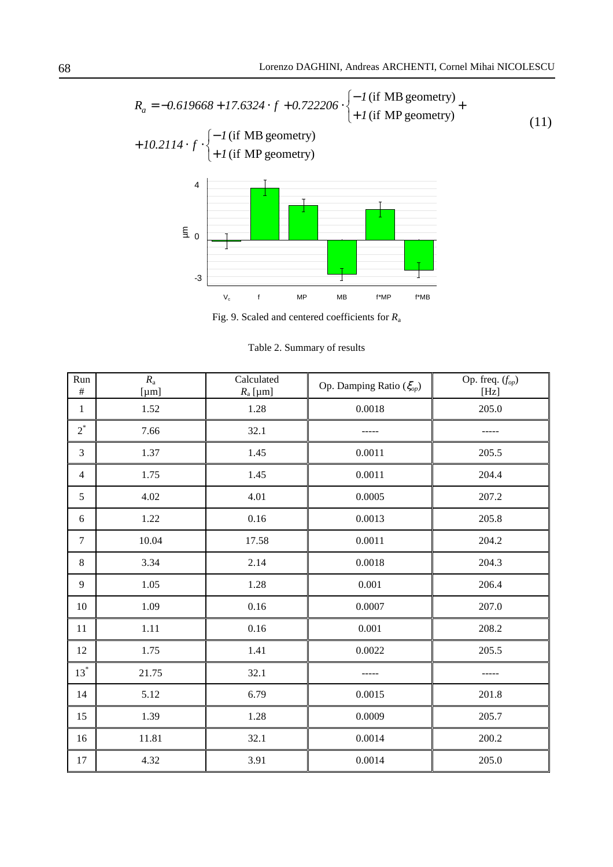$$
R_a = -0.619668 + 17.6324 \cdot f + 0.722206 \cdot \left\{ -1 \text{ (if MB geometry)} + 10.2114 \cdot f \cdot \right\} - 1 \text{ (if MB geometry)}
$$
  
+ 10.2114 \cdot f \cdot \left\{ -1 \text{ (if MB geometry)} + 1 \text{ (if MP geometry)} \right\}  

$$
\frac{4}{5} \cdot 0
$$

Fig. 9. Scaled and centered coefficients for *R*<sup>a</sup>

Table 2. Summary of results

| Run<br>$\#$      | $R_{\rm a}$<br>$[\mu m]$ | Calculated<br>$R_a$ [µm] | Op. Damping Ratio $(\xi_{op})$ | Op. freq. $(f_{op})$<br>[Hz] |
|------------------|--------------------------|--------------------------|--------------------------------|------------------------------|
| $\mathbf{1}$     | 1.52                     | 1.28                     | 0.0018                         | 205.0                        |
| $2^*$            | 7.66                     | 32.1                     |                                |                              |
| $\overline{3}$   | 1.37                     | 1.45                     | 0.0011                         | 205.5                        |
| $\overline{4}$   | 1.75                     | 1.45                     | 0.0011                         | 204.4                        |
| 5                | 4.02                     | 4.01                     | 0.0005                         | 207.2                        |
| 6                | 1.22                     | 0.16                     | 0.0013                         | 205.8                        |
| $\boldsymbol{7}$ | 10.04                    | 17.58                    | $0.0011\,$                     | 204.2                        |
| $8\,$            | 3.34                     | 2.14                     | 0.0018                         | 204.3                        |
| 9                | 1.05                     | 1.28                     | $0.001\,$                      | 206.4                        |
| 10               | 1.09                     | 0.16                     | 0.0007                         | 207.0                        |
| 11               | $1.11\,$                 | 0.16                     | 0.001                          | 208.2                        |
| 12               | 1.75                     | 1.41                     | 0.0022                         | 205.5                        |
| $13^*$           | 21.75                    | 32.1                     |                                |                              |
| 14               | 5.12                     | 6.79                     | 0.0015                         | 201.8                        |
| 15               | 1.39                     | 1.28                     | 0.0009                         | 205.7                        |
| 16               | 11.81                    | 32.1                     | 0.0014                         | 200.2                        |
| 17               | 4.32                     | 3.91                     | 0.0014                         | 205.0                        |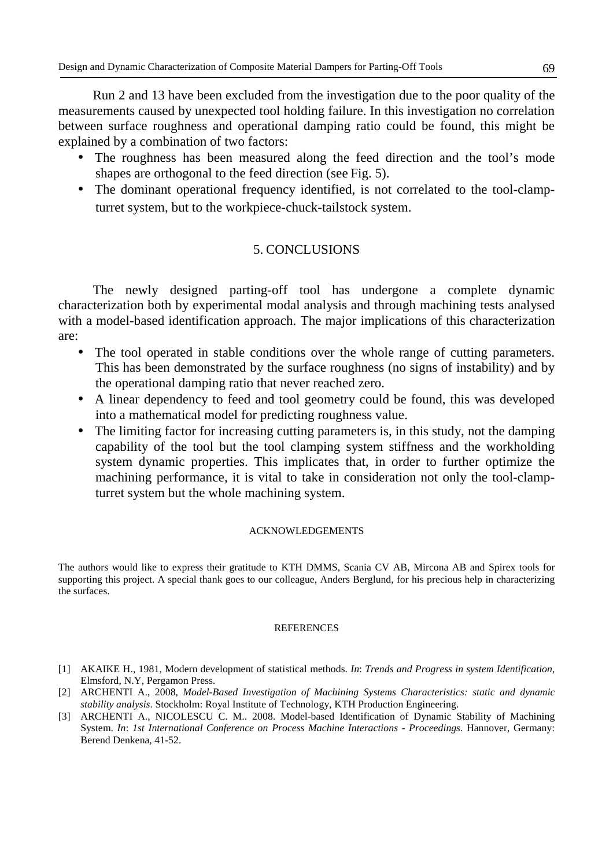Run 2 and 13 have been excluded from the investigation due to the poor quality of the measurements caused by unexpected tool holding failure. In this investigation no correlation between surface roughness and operational damping ratio could be found, this might be explained by a combination of two factors:

- The roughness has been measured along the feed direction and the tool's mode shapes are orthogonal to the feed direction (see Fig. 5).
- The dominant operational frequency identified, is not correlated to the tool-clampturret system, but to the workpiece-chuck-tailstock system.

# 5. CONCLUSIONS

The newly designed parting-off tool has undergone a complete dynamic characterization both by experimental modal analysis and through machining tests analysed with a model-based identification approach. The major implications of this characterization are:

- The tool operated in stable conditions over the whole range of cutting parameters. This has been demonstrated by the surface roughness (no signs of instability) and by the operational damping ratio that never reached zero.
- A linear dependency to feed and tool geometry could be found, this was developed into a mathematical model for predicting roughness value.
- The limiting factor for increasing cutting parameters is, in this study, not the damping capability of the tool but the tool clamping system stiffness and the workholding system dynamic properties. This implicates that, in order to further optimize the machining performance, it is vital to take in consideration not only the tool-clampturret system but the whole machining system.

## ACKNOWLEDGEMENTS

The authors would like to express their gratitude to KTH DMMS, Scania CV AB, Mircona AB and Spirex tools for supporting this project. A special thank goes to our colleague, Anders Berglund, for his precious help in characterizing the surfaces.

## **REFERENCES**

- [1] AKAIKE H., 1981, Modern development of statistical methods. *In*: *Trends and Progress in system Identification*, Elmsford, N.Y, Pergamon Press.
- [2] ARCHENTI A., 2008, *Model-Based Investigation of Machining Systems Characteristics: static and dynamic stability analysis*. Stockholm: Royal Institute of Technology, KTH Production Engineering.
- [3] ARCHENTI A., NICOLESCU C. M.. 2008. Model-based Identification of Dynamic Stability of Machining System. *In*: *1st International Conference on Process Machine Interactions - Proceedings*. Hannover, Germany: Berend Denkena, 41-52.